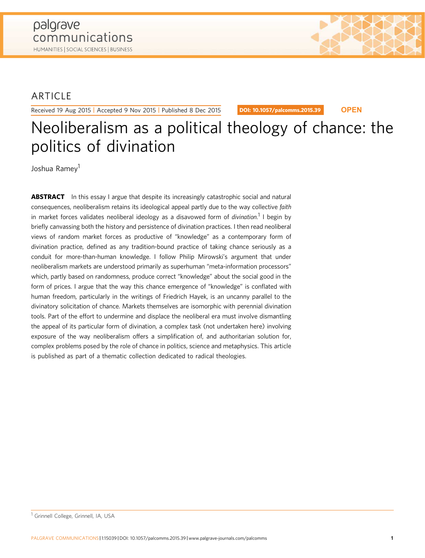## ARTICLE

Received 19 Aug 2015 | Accepted 9 Nov 2015 | Published 8 Dec 2015

DOI: [10.1057/palcomms.2015.39](http://dx.doi.org/10.1057/palcomms.2015.39) **OPEN**

# Neoliberalism as a political theology of chance: the politics of divination

Joshua Ramev<sup>1</sup>

**ABSTRACT** In this essay I argue that despite its increasingly catastrophic social and natural consequences, neoliberalism retains its ideological appeal partly due to the way collective faith in market forces validates neoliberal ideology as a disavowed form of *divination.*<sup>1</sup> I begin by briefly canvassing both the history and persistence of divination practices. I then read neoliberal views of random market forces as productive of "knowledge" as a contemporary form of divination practice, defined as any tradition-bound practice of taking chance seriously as a conduit for more-than-human knowledge. I follow Philip Mirowski's argument that under neoliberalism markets are understood primarily as superhuman "meta-information processors" which, partly based on randomness, produce correct "knowledge" about the social good in the form of prices. I argue that the way this chance emergence of "knowledge" is conflated with human freedom, particularly in the writings of Friedrich Hayek, is an uncanny parallel to the divinatory solicitation of chance. Markets themselves are isomorphic with perennial divination tools. Part of the effort to undermine and displace the neoliberal era must involve dismantling the appeal of its particular form of divination, a complex task (not undertaken here) involving exposure of the way neoliberalism offers a simplification of, and authoritarian solution for, complex problems posed by the role of chance in politics, science and metaphysics. This article is published as part of a thematic collection dedicated to radical theologies.

<sup>&</sup>lt;sup>1</sup> Grinnell College, Grinnell, IA, USA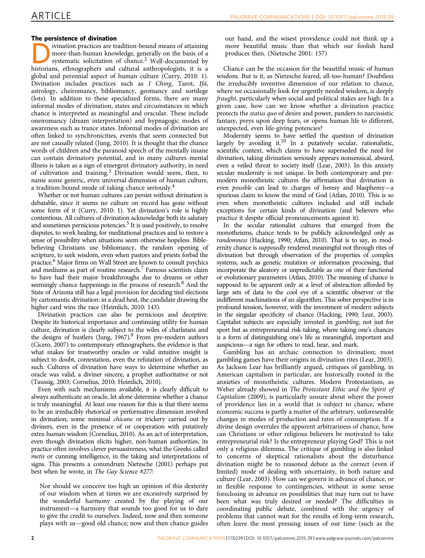### The persistence of divination

For persistence of arbitration-<br>
ivination practices are tradition-bound means of attaining<br>
more-than-human knowledge, generally on the basis of a<br>
bistorian systematic solicitation of chance.<sup>2</sup> Well-documented by<br>
bisto more-than-human knowledge, generally on the basis of a historians, ethnographers and cultural anthropologists, it is a global and perennial aspect of human culture ([Curry, 2010:](#page-8-0) 1). Divination includes practices such as I Ching, Tarot, Ifá, astrology, cheiromancy, bibliomancy, geomancy and sortilege (lots). In addition to these specialized forms, there are many informal modes of divination, states and circumstances in which chance is interpreted as meaningful and oracular. These include oneiromancy (dream interpretation) and hypnagogic modes of awareness such as trance states. Informal modes of divination are often linked to synchronicities, events that seem connected but are not causally related [\(Jung, 2010\)](#page-8-0). It is thought that the chance words of children and the paranoid speech of the mentally insane can contain divinatory potential, and in many cultures mental illness is taken as a sign of emergent divinatory authority, in need of cultivation and training.3 Divination would seem, then, to name some generic, even universal dimension of human culture, a tradition-bound mode of taking chance seriously.4

Whether or not human cultures can persist without divination is debatable, since it seems no culture on record has gone without some form of it [\(Curry, 2010](#page-8-0): 1). Yet divination's role is highly contentious. All cultures of divination acknowledge both its salutary and sometimes pernicious potencies.<sup>5</sup> It is used positively, to resolve disputes, to work healing, for meditational practices and to restore a sense of possibility when situations seem otherwise hopeless. Biblebelieving Christians use bibliomancy, the random opening of scripture, to seek wisdom, even when pastors and priests forbid the practice.6 Major firms on Wall Street are known to consult psychics and mediums as part of routine research.7 Famous scientists claim to have had their major breakthroughs due to dreams or other seemingly chance happenings in the process of research.<sup>8</sup> And the State of Arizona still has a legal provision for deciding tied elections by cartomantic divination: in a dead heat, the candidate drawing the higher card wins the race ([Heimlich, 2010](#page-8-0): 143).

Divination practices can also be pernicious and deceptive. Despite its historical importance and continuing utility for human culture, divination is clearly subject to the wiles of charlatans and the designs of hustlers (Jung,  $1967$ ).<sup>9</sup> From pre-modern authors ([Cicero, 2007\)](#page-8-0) to contemporary ethnographers, the evidence is that what makes for trustworthy oracles or valid intuitive insight is subject to doubt, contestation, even the refutation of divination, as such. Cultures of divination have ways to determine whether an oracle was valid, a diviner sincere, a prophet authoritative or not ([Taussig, 2003](#page-8-0); [Cornelius, 2010](#page-8-0); [Heimlich, 2010\)](#page-8-0).

Even with such mechanisms available, it is clearly difficult to always authenticate an oracle, let alone determine whether a chance is truly meaningful. At least one reason for this is that there seems to be an irreducibly rhetorical or performative dimension involved in divination, some minimal chicane or trickery carried out by diviners, even in the presence of or cooperation with putatively extra-human wisdom [\(Cornelius, 2010](#page-8-0)). As an act of interpretation, even though divination elicits higher, non-human authorities, its practice often involves clever persuasiveness, what the Greeks called metis or cunning intelligence, in the taking and interpretations of signs. This presents a conundrum [Nietzsche \(2001\)](#page-8-0) perhaps put best when he wrote, in The Gay Science #277:

Nor should we conceive too high an opinion of this dexterity of our wisdom when at times we are excessively surprised by the wonderful harmony created by the playing of our instrument—a harmony that sounds too good for us to dare to give the credit to ourselves. Indeed, now and then someone plays with us—good old chance; now and then chance guides our hand, and the wisest providence could not think up a more beautiful music than that which our foolish hand produces then. [\(Nietzsche 2001: 157](#page-8-0))

Chance can be the occasion for the beautiful music of human wisdom. But is it, as Nietzsche feared, all-too-human? Doubtless the irreducibly inventive dimension of our relation to chance, where we occasionally look for urgently needed wisdom, is deeply fraught, particularly when social and political stakes are high. In a given case, how can we know whether a divination practice protects the status quo of desire and power, panders to narcissistic fantasy, preys upon deep fears, or opens human life to different, unexpected, even life-giving potencies?

Modernity seems to have settled the question of divination largely by avoiding it.10 In a putatively secular, rationalistic, scientific context, which claims to have superseded the need for divination, taking divination seriously appears nonsensical, absurd, even a veiled threat to society itself [\(Lear, 2003\)](#page-8-0). In this anxiety secular modernity is not unique. In both contemporary and premodern monotheistic cultures the affirmation that divination is even possible can lead to charges of heresy and blasphemy—a spurious claim to know the mind of God ([Atlan, 2010](#page-8-0)). This is so even when monotheistic cultures included and still include exceptions for certain kinds of divination (and believers who practice it despite official pronouncements against it).

In the secular rationalist cultures that emerged from the monotheisms, chance tends to be publicly acknowledged only as randomness [\(Hacking, 1990](#page-8-0); [Atlan, 2010\)](#page-8-0). That is to say, in modernity chance is supposedly rendered meaningful not through rites of divination but through observation of the properties of complex systems, such as genetic mutation or information processing, that incorporate the aleatory or unpredictable as one of their functional or evolutionary parameters ([Atlan, 2010\)](#page-8-0). The meaning of chance is supposed to be apparent only at a level of abstraction afforded by large sets of data to the cool eye of a scientific observer or the indifferent machinations of an algorithm. This sober perspective is in profound tension, however, with the investment of modern subjects in the singular specificity of chance [\(Hacking, 1990; Lear, 2003\)](#page-8-0). Capitalist subjects are especially invested in gambling, not just for sport but as entrepreneurial risk-taking, where taking one's chances is a form of distinguishing one's life as meaningful, important and auspicious—a sign for others to read, hear, and mark.

Gambling has an archaic connection to divination; most gambling games have their origins in divination rites (Lear, 2003). As Jackson Lear has brilliantly argued, critiques of gambling, in American capitalism in particular, are historically rooted in the anxieties of monotheistic cultures. Modern Protestantism, as Weber already showed in The Protestant Ethic and the Spirit of Capitalism ([2009\)](#page-8-0), is particularly unsure about where the power of providence lies in a world that is subject to chance, where economic success is partly a matter of the arbitrary, unforeseeable changes in modes of production and rates of consumption. If a divine design overrules the apparent arbitrariness of chance, how can Christians or other religious believers be motivated to take entrepreneurial risk? Is the entrepreneur playing God? This is not only a religious dilemma. The critique of gambling is also linked to concerns of skeptical rationalists about the disturbance divination might be to reasoned debate as the correct (even if limited) mode of dealing with uncertainty, in both nature and culture (Lear, 2003). How can we govern in advance of chance, or in flexible response to contingencies, without in some sense foreclosing in advance on possibilities that may turn out to have been what was truly desired or needed? The difficulties in coordinating public debate, combined with the urgency of problems that cannot wait for the results of long-term research, often leave the most pressing issues of our time (such as the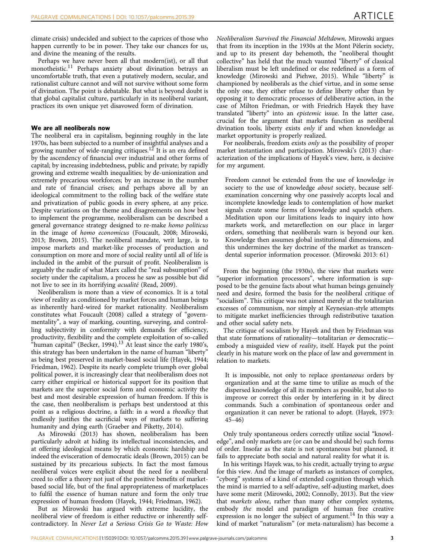climate crisis) undecided and subject to the caprices of those who happen currently to be in power. They take our chances for us, and divine the meaning of the results.

Perhaps we have never been all that modern(ist), or all that monotheistic.<sup>11</sup> Perhaps anxiety about divination betrays an uncomfortable truth, that even a putatively modern, secular, and rationalist culture cannot and will not survive without some form of divination. The point is debatable. But what is beyond doubt is that global capitalist culture, particularly in its neoliberal variant, practices its own unique yet disavowed form of divination.

#### We are all neoliberals now

The neoliberal era in capitalism, beginning roughly in the late 1970s, has been subjected to a number of insightful analyses and a growing number of wide-ranging critiques.<sup>12</sup> It is an era defined by the ascendency of financial over industrial and other forms of capital; by increasing indebtedness, public and private; by rapidly growing and extreme wealth inequalities; by de-unionization and extremely precarious workforces; by an increase in the number and rate of financial crises; and perhaps above all by an ideological commitment to the rolling back of the welfare state and privatization of public goods in every sphere, at any price. Despite variations on the theme and disagreements on how best to implement the programme, neoliberalism can be described a general governance strategy designed to re-make homo politicus in the image of homo economicus ([Foucault, 2008; Mirowski,](#page-8-0) [2013; Brown, 2015](#page-8-0)). The neoliberal mandate, writ large, is to impose markets and market-like processes of production and consumption on more and more of social reality until all of life is included in the ambit of the pursuit of profit. Neoliberalism is arguably the nadir of what Marx called the "real subsumption" of society under the capitalism, a process he saw as possible but did not live to see in its horrifying acualité ([Read, 2009\)](#page-8-0).

Neoliberalism is more than a view of economics. It is a total view of reality as conditioned by market forces and human beings as inherently hard-wired for market rationality. Neoliberalism constitutes what [Foucault \(2008\)](#page-8-0) called a strategy of "governmentality", a way of marking, counting, surveying, and controlling subjectivity in conformity with demands for efficiency, productivity, flexibility and the complete exploitation of so-called "human capital" ([Becker, 1994\)](#page-8-0).<sup>13</sup> At least since the early 1980's, this strategy has been undertaken in the name of human "liberty" as being best preserved in market-based social life [\(Hayek, 1944;](#page-8-0) [Friedman, 1962](#page-8-0)). Despite its nearly complete triumph over global political power, it is increasingly clear that neoliberalism does not carry either empirical or historical support for its position that markets are the superior social form and economic activity the best and most desirable expression of human freedom. If this is the case, then neoliberalism is perhaps best understood at this point as a religious doctrine, a faith: in a word a theodicy that endlessly justifies the sacrificial ways of markets to suffering humanity and dying earth ([Graeber and Piketty, 2014](#page-8-0)).

As [Mirowski \(2013\)](#page-8-0) has shown, neoliberalism has been particularly adroit at hiding its intellectual inconsistencies, and at offering ideological means by which economic hardship and indeed the evisceration of democratic ideals ([Brown, 2015\)](#page-8-0) can be sustained by its precarious subjects. In fact the most famous neoliberal voices were explicit about the need for a neoliberal creed to offer a theory not just of the positive benefits of marketbased social life, but of the final appropriateness of marketplaces to fulfil the essence of human nature and form the only true expression of human freedom [\(Hayek, 1944; Friedman, 1962](#page-8-0)).

But as Mirowski has argued with extreme lucidity, the neoliberal view of freedom is either reductive or inherently selfcontradictory. In Never Let a Serious Crisis Go to Waste: How Neoliberalism Survived the Financial Meltdown, Mirowski argues that from its inception in the 1930s at the Mont Pèlerin society, and up to its present day behemoth, the "neoliberal thought collective" has held that the much vaunted "liberty" of classical liberalism must be left undefined or else redefined as a form of knowledge [\(Mirowski and Piehwe, 2015](#page-8-0)). While "liberty" is championed by neoliberals as the chief virtue, and in some sense the only one, they either refuse to define liberty other than by opposing it to democratic processes of deliberative action, in the case of Milton Friedman, or with Friedrich Hayek they have translated "liberty" into an epistemic issue. In the latter case, crucial for the argument that markets function as neoliberal divination tools, liberty exists only if and when knowledge as market opportunity is properly realized.

For neoliberals, freedom exists only as the possibility of proper market instantiation and participation. [Mirowski](#page-8-0)'s (2013) characterization of the implications of Hayek's view, here, is decisive for my argument.

Freedom cannot be extended from the use of knowledge in society to the use of knowledge *about* society, because selfexamination concerning why one passively accepts local and incomplete knowledge leads to contemplation of how market signals create some forms of knowledge and squelch others. Meditation upon our limitations leads to inquiry into how markets work, and metareflection on our place in larger orders, something that neoliberals warn is beyond our ken. Knowledge then assumes global institutional dimensions, and this undermines the key doctrine of the market as transcendental superior information processor. ([Mirowski 2013: 61](#page-8-0))

From the beginning (the 1930s), the view that markets were "superior information processors", where information is supposed to be the genuine facts about what human beings genuinely need and desire, formed the basis for the neoliberal critique of "socialism". This critique was not aimed merely at the totalitarian excesses of communism, nor simply at Keynesian-style attempts to mitigate market inefficiencies through redistributive taxation and other social safety nets.

The critique of socialism by Hayek and then by Friedman was that state formations of rationality—totalitarian or democratic embody a misguided view of reality, itself. Hayek put the point clearly in his mature work on the place of law and government in relation to markets.

It is impossible, not only to replace spontaneous orders by organization and at the same time to utilize as much of the dispersed knowledge of all its members as possible, but also to improve or correct this order by interfering in it by direct commands. Such a combination of spontaneous order and organization it can never be rational to adopt. ([Hayek, 1973:](#page-8-0) 45–46)

Only truly spontaneous orders correctly utilize social "knowledge", and only markets are (or can be and should be) such forms of order. Insofar as the state is not spontaneous but planned, it fails to appreciate both social and natural reality for what it is.

In his writings Hayek was, to his credit, actually trying to argue for this view. And the image of markets as instances of complex, "cyborg" systems of a kind of extended cognition through which the mind is married to a self-adaptive, self-adjusting market, does have some merit [\(Mirowski, 2002](#page-8-0); [Connolly, 2013](#page-8-0)). But the view that markets alone, rather than many other complex systems, embody the model and paradigm of human free creative expression is no longer the subject of argument.<sup>14</sup> In this way a kind of market "naturalism" (or meta-naturalism) has become a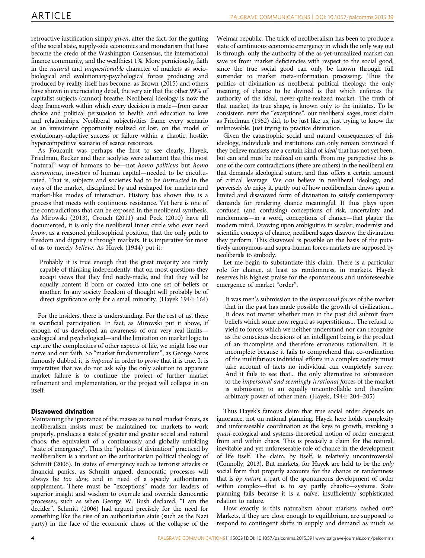retroactive justification simply given, after the fact, for the gutting of the social state, supply-side economics and monetarism that have become the credo of the Washington Consensus, the international finance community, and the wealthiest 1%. More perniciously, faith in the natural and unquestionable character of markets as sociobiological and evolutionary-psychological forces producing and produced by reality itself has become, as [Brown \(2015\)](#page-8-0) and others have shown in excruciating detail, the very air that the other 99% of capitalist subjects (cannot) breathe. Neoliberal ideology is now the deep framework within which every decision is made—from career choice and political persuasion to health and education to love and relationships. Neoliberal subjectivities frame every scenario as an investment opportunity realized or lost, on the model of evolutionary-adaptive success or failure within a chaotic, hostile, hypercompetitive scenario of scarce resources.

As Foucault was perhaps the first to see clearly, Hayek, Friedman, Becker and their acolytes were adamant that this most "natural" way of humans to be—not homo politicus but homo economicus, investors of human capital—needed to be enculturated. That is, subjects and societies had to be instructed in the ways of the market, disciplined by and reshaped for markets and market-like modes of interaction. History has shown this is a process that meets with continuous resistance. Yet here is one of the contradictions that can be exposed in the neoliberal synthesis. As [Mirowski \(2013\), Crouch \(2011\)](#page-8-0) and [Peck \(2010\)](#page-8-0) have all documented, it is only the neoliberal inner circle who ever need know, as a reasoned philosophical position, that the only path to freedom and dignity is through markets. It is imperative for most of us to merely believe. As [Hayek \(1944\)](#page-8-0) put it:

Probably it is true enough that the great majority are rarely capable of thinking independently, that on most questions they accept views that they find ready-made, and that they will be equally content if born or coaxed into one set of beliefs or another. In any society freedom of thought will probably be of direct significance only for a small minority. [\(Hayek 1944: 164](#page-8-0))

For the insiders, there is understanding. For the rest of us, there is sacrificial participation. In fact, as Mirowski put it above, if enough of us developed an awareness of our very real limits ecological and psychological—and the limitation on market logic to capture the complexities of other aspects of life, we might lose our nerve and our faith. So "market fundamentalism", as George Soros famously dubbed it, is imposed in order to prove that it is true. It is imperative that we do not ask why the only solution to apparent market failure is to continue the project of further market refinement and implementation, or the project will collapse in on itself.

### Disavowed divination

Maintaining the ignorance of the masses as to real market forces, as neoliberalism insists must be maintained for markets to work properly, produces a state of greater and greater social and natural chaos, the equivalent of a continuously and globally unfolding "state of emergency". Thus the "politics of divination" practiced by neoliberalism is a variant on the authoritarian political theology of [Schmitt \(2006\)](#page-8-0). In states of emergency such as terrorist attacks or financial panics, as Schmitt argued, democratic processes will always be too slow, and in need of a speedy authoritarian supplement. There must be "exceptions" made for leaders of superior insight and wisdom to overrule and override democratic processes, such as when George W. Bush declared, "I am the decider". [Schmitt \(2006\)](#page-8-0) had argued precisely for the need for something like the rise of an authoritarian state (such as the Nazi party) in the face of the economic chaos of the collapse of the

Weimar republic. The trick of neoliberalism has been to produce a state of continuous economic emergency in which the only way out is through: only the authority of the as-yet-unrealized market can save us from market deficiencies with respect to the social good, since the true social good can only be known through full surrender to market meta-information processing. Thus the politics of divination as neoliberal political theology: the only meaning of chance to be divined is that which enforces the authority of the ideal, never-quite-realized market. The truth of that market, its true shape, is known only to the initiates. To be consistent, even the "exceptions", our neoliberal sages, must claim as [Friedman \(1962\)](#page-8-0) did, to be just like us, just trying to know the unknowable. Just trying to practice divination.

Given the catastrophic social and natural consequences of this ideology, individuals and institutions can only remain convinced if they believe markets are a certain kind of ideal that has not yet been, but can and must be realized on earth. From my perspective this is one of the core contradictions (there are others) in the neoliberal era that demands ideological suture, and thus offers a certain amount of critical leverage. We can believe in neoliberal ideology, and perversely do enjoy it, partly out of how neoliberalism draws upon a limited and disavowed form of divination to satisfy contemporary demands for rendering chance meaningful. It thus plays upon confused (and confusing) conceptions of risk, uncertainty and randomness—in a word, conceptions of chance—that plague the modern mind. Drawing upon ambiguities in secular, modernist and scientific concepts of chance, neoliberal sages disavow the divination they perform. This disavowal is possible on the basis of the putatively anonymous and supra-human forces markets are supposed by neoliberals to embody.

Let me begin to substantiate this claim. There is a particular role for chance, at least as randomness, in markets. Hayek reserves his highest praise for the spontaneous and unforeseeable emergence of market "order".

It was men's submission to the impersonal forces of the market that in the past has made possible the growth of civilization... It does not matter whether men in the past did submit from beliefs which some now regard as superstitious... The refusal to yield to forces which we neither understand nor can recognize as the conscious decisions of an intelligent being is the product of an incomplete and therefore erroneous rationalism. It is incomplete because it fails to comprehend that co-ordination of the multifarious individual efforts in a complex society must take account of facts no individual can completely survey. And it fails to see that... the only alternative to submission to the impersonal and seemingly irrational forces of the market is submission to an equally uncontrollable and therefore arbitrary power of other men. [\(Hayek, 1944:](#page-8-0) 204–205)

Thus Hayek's famous claim that true social order depends on ignorance, not on rational planning. Hayek here holds complexity and unforeseeable coordination as the keys to growth, invoking a quasi-ecological and systems-theoretical notion of order emergent from and within chaos. This is precisely a claim for the natural, inevitable and yet unforeseeable role of chance in the development of life itself. The claim, by itself, is relatively uncontroversial ([Connolly, 2013\)](#page-8-0). But markets, for Hayek are held to be the only social form that properly accounts for the chance or randomness that is by nature a part of the spontaneous development of order within complex—that is to say partly chaotic—systems. State planning fails because it is a naïve, insufficiently sophisticated relation to nature.

How exactly is this naturalism about markets cashed out? Markets, if they are close enough to equilibrium, are supposed to respond to contingent shifts in supply and demand as much as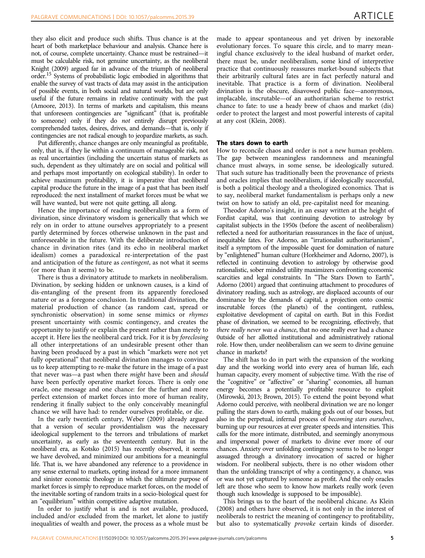they also elicit and produce such shifts. Thus chance is at the heart of both marketplace behaviour and analysis. Chance here is not, of course, complete uncertainty. Chance must be restrained—it must be calculable risk, not genuine uncertainty, as the neoliberal [Knight \(2009\)](#page-8-0) argued far in advance of the triumph of neoliberal order.15 Systems of probabilistic logic embodied in algorithms that enable the survey of vast tracts of data may assist in the anticipation of possible events, in both social and natural worlds, but are only useful if the future remains in relative continuity with the past ([Amoore, 2013](#page-8-0)). In terms of markets and capitalism, this means that unforeseen contingencies are "significant" (that is, profitable to someone) only if they do not entirely disrupt previously comprehended tastes, desires, drives, and demands—that is, only if contingencies are not radical enough to jeopardize markets, as such.

Put differently, chance changes are only meaningful as profitable, only, that is, if they lie within a continuum of manageable risk, not as real uncertainties (including the uncertain status of markets as such, dependent as they ultimately are on social and political will and perhaps most importantly on ecological stability). In order to achieve maximum profitability, it is imperative that neoliberal capital produce the future in the image of a past that has been itself reproduced: the next installment of market forces must be what we will have wanted, but were not quite getting, all along.

Hence the importance of reading neoliberalism as a form of divination, since divinatory wisdom is generically that which we rely on in order to attune ourselves appropriately to a present partly determined by forces otherwise unknown in the past and unforeseeable in the future. With the deliberate introduction of chance in divination rites (and its echo in neoliberal market idealism) comes a paradoxical re-interpretation of the past and anticipation of the future as contingent, as not what it seems (or more than it seems) to be.

There is thus a divinatory attitude to markets in neoliberalism. Divination, by seeking hidden or unknown causes, is a kind of dis-entangling of the present from its apparently foreclosed nature or as a foregone conclusion. In traditional divination, the material production of chance (as random cast, spread or synchronistic observation) in some sense mimics or rhymes present uncertainty with cosmic contingency, and creates the opportunity to justify or explain the present rather than merely to accept it. Here lies the neoliberal card trick. For it is by foreclosing all other interpretations of an undesirable present other than having been produced by a past in which "markets were not yet fully operational" that neoliberal divination manages to convince us to keep attempting to re-make the future in the image of a past that never was—a past when there might have been and should have been perfectly operative market forces. There is only one oracle, one message and one chance: for the further and more perfect extension of market forces into more of human reality, rendering it finally subject to the only conceivably meaningful chance we will have had: to render ourselves profitable, or die.

In the early twentieth century, [Weber \(2009\)](#page-8-0) already argued that a version of secular providentialism was the necessary ideological supplement to the terrors and tribulations of market uncertainty, as early as the seventeenth century. But in the neoliberal era, as [Kotsko \(2015\)](#page-8-0) has recently observed, it seems we have devolved, and minimized our ambitions for a meaningful life. That is, we have abandoned any reference to a providence in any sense external to markets, opting instead for a more immanent and sinister economic theology in which the ultimate purpose of market forces is simply to reproduce market forces, on the model of the inevitable sorting of random traits in a socio-biological quest for an "equilibrium" within competitive adaptive mutation.

In order to justify what is and is not available, produced, included and/or excluded from the market, let alone to justify inequalities of wealth and power, the process as a whole must be made to appear spontaneous and yet driven by inexorable evolutionary forces. To square this circle, and to marry meaningful chance exclusively to the ideal husband of market order, there must be, under neoliberalism, some kind of interpretive practice that continuously reassures market-bound subjects that their arbitrarily cultural fates are in fact perfectly natural and inevitable. That practice is a form of divination. Neoliberal divination is the obscure, disavowed public face—anonymous, implacable, inscrutable—of an authoritarian scheme to restrict chance to fate: to use a heady brew of chaos and market (dis) order to protect the largest and most powerful interests of capital at any cost ([Klein, 2008](#page-8-0)).

#### The stars down to earth

How to reconcile chaos and order is not a new human problem. The gap between meaningless randomness and meaningful chance must always, in some sense, be ideologically sutured. That such suture has traditionally been the provenance of priests and oracles implies that neoliberalism, if ideologically successful, is both a political theology and a theologized economics. That is to say, neoliberal market fundamentalism is perhaps only a new twist on how to satisfy an old, pre-capitalist need for meaning.

Theodor Adorno's insight, in an essay written at the height of Fordist capital, was that continuing devotion to astrology by capitalist subjects in the 1950s (before the ascent of neoliberalism) reflected a need for authoritarian reassurances in the face of unjust, inequitable fates. For Adorno, an "irrationalist authoritarianism", itself a symptom of the impossible quest for domination of nature by "enlightened" human culture [\(Horkheimer and Adorno, 2007\)](#page-8-0), is reflected in continuing devotion to astrology by otherwise good rationalistic, sober minded utility maximizers confronting economic scarcities and legal constraints. In "The Stars Down to Earth", [Adorno \(2001\)](#page-8-0) argued that continuing attachment to procedures of divinatory reading, such as astrology, are displaced accounts of our dominance by the demands of capital, a projection onto cosmic inscrutable forces (the planets) of the contingent, ruthless, exploitative development of capital on earth. But in this Fordist phase of divination, we seemed to be recognizing, effectively, that there really never was a chance, that no one really ever had a chance 0utside of her allotted institutional and administratively rational role. How then, under neoliberalism can we seem to divine genuine chance in markets?

The shift has to do in part with the expansion of the working day and the working world into every area of human life, each human capacity, every moment of subjective time. With the rise of the "cognitive" or "affective" or "sharing" economies, all human energy becomes a potentially profitable resource to exploit ([Mirowski, 2013](#page-8-0); [Brown, 2015\)](#page-8-0). To extend the point beyond what Adorno could perceive, with neoliberal divination we are no longer pulling the stars down to earth, making gods out of our bosses, but also in the perpetual, infernal process of becoming stars ourselves, burning up our resources at ever greater speeds and intensities. This calls for the more intimate, distributed, and seemingly anonymous and impersonal power of markets to divine ever more of our chances. Anxiety over unfolding contingency seems to be no longer assuaged through a divinatory invocation of sacred or higher wisdom. For neoliberal subjects, there is no other wisdom other than the unfolding transcript of why a contingency, a chance, was or was not yet captured by someone as profit. And the only oracles left are those who seem to know how markets really work (even though such knowledge is supposed to be impossible).

This brings us to the heart of the neoliberal chicane. As [Klein](#page-8-0) [\(2008\)](#page-8-0) and others have observed, it is not only in the interest of neoliberals to restrict the meaning of contingency to profitability, but also to systematically *provoke* certain kinds of disorder.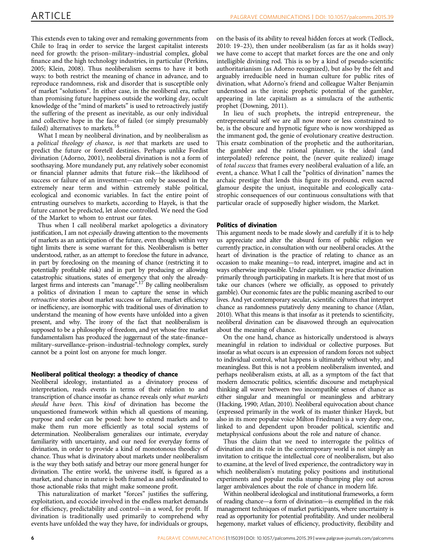This extends even to taking over and remaking governments from Chile to Iraq in order to service the largest capitalist interests need for growth: the prison–military–industrial complex, global finance and the high technology industries, in particular [\(Perkins,](#page-8-0) [2005; Klein, 2008](#page-8-0)). Thus neoliberalism seems to have it both ways: to both restrict the meaning of chance in advance, and to reproduce randomness, risk and disorder that is susceptible only of market "solutions". In either case, in the neoliberal era, rather than promising future happiness outside the working day, occult knowledge of the "mind of markets" is used to retroactively justify the suffering of the present as inevitable, as our only individual and collective hope in the face of failed (or simply presumably failed) alternatives to markets.<sup>16</sup>

What I mean by neoliberal divination, and by neoliberalism as a political theology of chance, is not that markets are used to predict the future or foretell destinies. Perhaps unlike Fordist divination [\(Adorno, 2001](#page-8-0)), neoliberal divination is not a form of soothsaying. More mundanely put, any relatively sober economist or financial planner admits that future risk—the likelihood of success or failure of an investment—can only be assessed in the extremely near term and within extremely stable political, ecological and economic variables. In fact the entire point of entrusting ourselves to markets, according to Hayek, is that the future cannot be predicted, let alone controlled. We need the God of the Market to whom to entrust our fates.

Thus when I call neoliberal market apologetics a divinatory justification, I am not *especially* drawing attention to the movements of markets as an anticipation of the future, even though within very tight limits there is some warrant for this. Neoliberalism is better understood, rather, as an attempt to foreclose the future in advance, in part by foreclosing on the meaning of chance (restricting it to potentially profitable risk) and in part by producing or allowing catastrophic situations, states of emergency that only the alreadylargest firms and interests can "manage".<sup>17</sup> By calling neoliberalism a politics of divination I mean to capture the sense in which retroactive stories about market success or failure, market efficiency or inefficiency, are isomorphic with traditional uses of divination to understand the meaning of how events have unfolded into a given present, and why. The irony of the fact that neoliberalism is supposed to be a philosophy of freedom, and yet whose free market fundamentalism has produced the juggernaut of the state–finance– military–surveillance–prison–industrial–technology complex, surely cannot be a point lost on anyone for much longer.

### Neoliberal political theology: a theodicy of chance

Neoliberal ideology, instantiated as a divinatory process of interpretation, reads events in terms of their relation to and transcription of chance insofar as chance reveals only what markets should have been. This kind of divination has become the unquestioned framework within which all questions of meaning, purpose and order can be posed: how to extend markets and to make them run more efficiently as total social systems of determination. Neoliberalism generalizes our intimate, everyday familiarity with uncertainty, and our need for everyday forms of divination, in order to provide a kind of monotonous theodicy of chance. Thus what is divinatory about markets under neoliberalism is the way they both satisfy and betray our more general hunger for divination. The entire world, the universe itself, is figured as a market, and chance in nature is both framed as and subordinated to those actionable risks that might make someone profit.

This naturalization of market "forces" justifies the suffering, exploitation, and ecocide involved in the endless market demands for efficiency, predictability and control—in a word, for profit. If divination is traditionally used primarily to comprehend why events have unfolded the way they have, for individuals or groups,

on the basis of its ability to reveal hidden forces at work [\(Tedlock,](#page-8-0) [2010:](#page-8-0) 19–23), then under neoliberalism (as far as it holds sway) we have come to accept that market forces are the one and only intelligible divining rod. This is so by a kind of pseudo-scientific authoritarianism (as Adorno recognized), but also by the felt and arguably irreducible need in human culture for public rites of divination, what Adorno's friend and colleague Walter Benjamin understood as the ironic prophetic potential of the gambler, appearing in late capitalism as a simulacra of the authentic prophet ([Downing, 2011](#page-8-0)).

In lieu of such prophets, the intrepid entrepreneur, the entrepreneurial self we are all now more or less constrained to be, is the obscure and hypnotic figure who is now worshipped as the immanent god, the genie of evolutionary creative destruction. This ersatz combination of the prophetic and the authoritarian, the gambler and the rational planner, is the ideal (and interpolated) reference point, the (never quite realized) image of total success that frames every neoliberal evaluation of a life, an event, a chance. What I call the "politics of divination" names the archaic prestige that lends this figure its profound, even sacred glamour despite the unjust, inequitable and ecologically catastrophic consequences of our continuous consultations with that particular oracle of supposedly higher wisdom, the Market.

### Politics of divination

This argument needs to be made slowly and carefully if it is to help us appreciate and alter the absurd form of public religion we currently practice, in consultation with our neoliberal oracles. At the heart of divination is the practice of relating to chance as an occasion to make meaning—to read, interpret, imagine and act in ways otherwise impossible. Under capitalism we practice divination primarily through participating in markets. It is here that most of us take our chances (where we officially, as opposed to privately gamble). Our economic fates are the public meaning ascribed to our lives. And yet contemporary secular, scientific cultures that interpret chance as randomness putatively deny meaning to chance [\(Atlan,](#page-8-0) [2010](#page-8-0)). What this means is that insofar as it pretends to scientificity, neoliberal divination can be disavowed through an equivocation about the meaning of chance.

On the one hand, chance as historically understood is always meaningful in relation to individual or collective purposes. But insofar as what occurs is an expression of random forces not subject to individual control, what happens is ultimately without why, and meaningless. But this is not a problem neoliberalism invented, and perhaps neoliberalism exists, at all, as a symptom of the fact that modern democratic politics, scientific discourse and metaphysical thinking all waver between two incompatible senses of chance as either singular and meaningful or meaningless and arbitrary ([Hacking, 1990; Atlan, 2010](#page-8-0)). Neoliberal equivocation about chance (expressed primarily in the work of its master thinker Hayek, but also in its more popular voice Milton Friedman) is a very deep one, linked to and dependent upon broader political, scientific and metaphysical confusions about the role and nature of chance.

Thus the claim that we need to interrogate the politics of divination and its role in the contemporary world is not simply an invitation to critique the intellectual core of neoliberalism, but also to examine, at the level of lived experience, the contradictory way in which neoliberalism's mutating policy positions and institutional experiments and popular media stump-thumping play out across larger ambivalences about the role of chance in modern life.

Within neoliberal ideological and institutional frameworks, a form of reading chance—a form of divination—is exemplified in the risk management techniques of market participants, where uncertainty is read as opportunity for potential profitability. And under neoliberal hegemony, market values of efficiency, productivity, flexibility and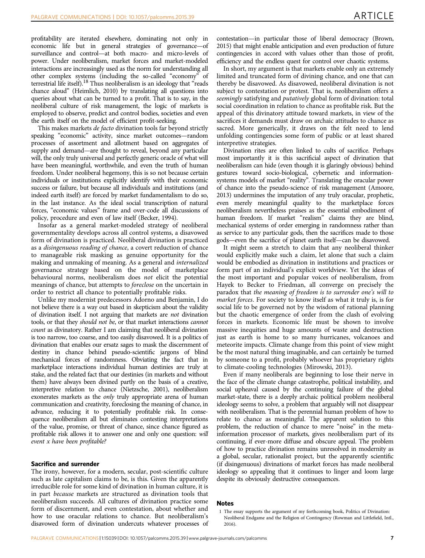profitability are iterated elsewhere, dominating not only in economic life but in general strategies of governance—of surveillance and control—at both macro- and micro-levels of power. Under neoliberalism, market forces and market-modeled interactions are increasingly used as the norm for understanding all other complex systems (including the so-called "economy" of terrestrial life itself).<sup>18</sup> Thus neoliberalism is an ideology that "reads" chance aloud" [\(Heimlich, 2010](#page-8-0)) by translating all questions into queries about what can be turned to a profit. That is to say, in the neoliberal culture of risk management, the logic of markets is employed to observe, predict and control bodies, societies and even the earth itself on the model of efficient profit-seeking.

This makes markets de facto divination tools far beyond strictly speaking "economic" activity, since market outcomes—random processes of assortment and allotment based on aggregates of supply and demand—are thought to reveal, beyond any particular will, the only truly universal and perfectly generic oracle of what will have been meaningful, worthwhile, and even the truth of human freedom. Under neoliberal hegemony, this is so not because certain individuals or institutions explicitly identify with their economic success or failure, but because all individuals and institutions (and indeed earth itself) are forced by market fundamentalism to do so, in the last instance. As the ideal social transcription of natural forces, "economic values" frame and over-code all discussions of policy, procedure and even of law itself ([Becker, 1994](#page-8-0)).

Insofar as a general market-modeled strategy of neoliberal governmentality develops across all control systems, a disavowed form of divination is practiced. Neoliberal divination is practiced as a disingenuous reading of chance, a covert reduction of chance to manageable risk masking as genuine opportunity for the making and unmaking of meaning. As a general and internalized governance strategy based on the model of marketplace behavioural norms, neoliberalism does not elicit the potential meanings of chance, but attempts to foreclose on the uncertain in order to restrict all chance to potentially profitable risks.

Unlike my modernist predecessors Adorno and Benjamin, I do not believe there is a way out based in skepticism about the validity of divination itself. I not arguing that markets are not divination tools, or that they should not be, or that market interactions cannot count as divinatory. Rather I am claiming that neoliberal divination is too narrow, too coarse, and too easily disavowed. It is a politics of divination that enables our ersatz sages to mask the discernment of destiny in chance behind pseudo-scientific jargons of blind mechanical forces of randomness. Obviating the fact that in marketplace interactions individual human destinies are truly at stake, and the related fact that our destinies (in markets and without them) have always been divined partly on the basis of a creative, interpretive relation to chance [\(Nietzsche, 2001](#page-8-0)), neoliberalism exonerates markets as the only truly appropriate arena of human communication and creativity, foreclosing the meaning of chance, in advance, reducing it to potentially profitable risk. In consequence neoliberalism all but eliminates contesting interpretations of the value, promise, or threat of chance, since chance figured as profitable risk allows it to answer one and only one question: will event x have been profitable?

#### Sacrifice and surrender

The irony, however, for a modern, secular, post-scientific culture such as late capitalism claims to be, is this. Given the apparently irreducible role for some kind of divination in human culture, it is in part because markets are structured as divination tools that neoliberalism succeeds. All cultures of divination practice some form of discernment, and even contestation, about whether and how to use oracular relations to chance. But neoliberalism's disavowed form of divination undercuts whatever processes of

contestation—in particular those of liberal democracy [\(Brown,](#page-8-0) [2015](#page-8-0)) that might enable anticipation and even production of future contingencies in accord with values other than those of profit, efficiency and the endless quest for control over chaotic systems.

In short, my argument is that markets enable only an extremely limited and truncated form of divining chance, and one that can thereby be disavowed. As disavowed, neoliberal divination is not subject to contestation or protest. That is, neoliberalism offers a seemingly satisfying and *putatively* global form of divination: total social coordination in relation to chance as profitable risk. But the appeal of this divinatory attitude toward markets, in view of the sacrifices it demands must draw on archaic attitudes to chance as sacred. More generically, it draws on the felt need to lend unfolding contingencies some form of public or at least shared interpretive strategies.

Divination rites are often linked to cults of sacrifice. Perhaps most importantly it is this sacrificial aspect of divination that neoliberalism can hide (even though it is glaringly obvious) behind gestures toward socio-biological, cybernetic and informationsystems models of market "reality". Translating the oracular power of chance into the pseudo-science of risk management [\(Amoore,](#page-8-0) [2013](#page-8-0)) undermines the imputation of any truly oracular, prophetic, even merely meaningful quality to the marketplace forces neoliberalism nevertheless praises as the essential embodiment of human freedom. If market "realism" claims they are blind, mechanical systems of order emerging in randomness rather than as service to any particular gods, then the sacrifices made to those gods—even the sacrifice of planet earth itself—can be disavowed.

It might seem a stretch to claim that any neoliberal thinker would explicitly make such a claim, let alone that such a claim would be embodied as divination in institutions and practices or form part of an individual's explicit worldview. Yet the ideas of the most important and popular voices of neoliberalism, from Hayek to Becker to Friedman, all converge on precisely the paradox that the meaning of freedom is to surrender one's will to market forces. For society to know itself as what it truly is, is for social life to be governed not by the wisdom of rational planning but the chaotic emergence of order from the clash of evolving forces in markets. Economic life must be shown to involve massive inequities and huge amounts of waste and destruction just as earth is home to so many hurricanes, volcanoes and meteorite impacts. Climate change from this point of view might be the most natural thing imaginable, and can certainly be turned by someone to a profit, probably whoever has proprietary rights to climate-cooling technologies [\(Mirowski, 2013\)](#page-8-0).

Even if many neoliberals are beginning to lose their nerve in the face of the climate change catastrophe, political instability, and social upheaval caused by the continuing failure of the global market-state, there is a deeply archaic political problem neoliberal ideology seems to solve, a problem that arguably will not disappear with neoliberalism. That is the perennial human problem of how to relate to chance as meaningful. The apparent solution to this problem, the reduction of chance to mere "noise" in the metainformation processor of markets, gives neoliberalism part of its continuing, if ever-more diffuse and obscure appeal. The problem of how to practice divination remains unresolved in modernity as a global, secular, rationalist project, but the apparently scientific (if disingenuous) divinations of market forces has made neoliberal ideology so appealing that it continues to linger and loom large despite its obviously destructive consequences.

#### Notes

<sup>1</sup> The essay supports the argument of my forthcoming book, Politics of Divination: Neoliberal Endgame and the Religion of Contingency (Rowman and Littlefield, Intl., 2016).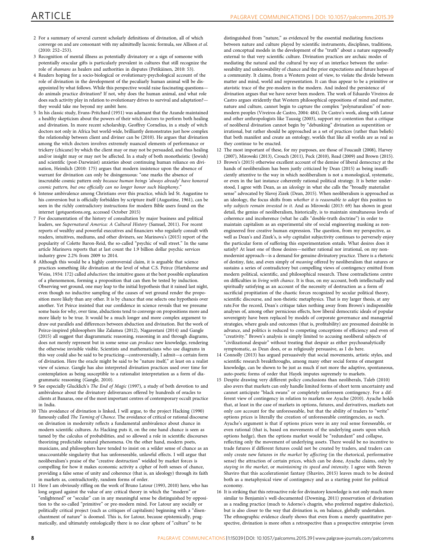- 2 For a summary of several current scholarly definitions of divination, all of which converge on and are consonant with my admittedly laconic formula, see [Allison](#page-8-0) et al.  $(2010 \cdot 252 - 253)$
- 3 Recognition of mental illness as potentially divinatory or a sign of someone with potentially oracular gifts is particularly prevalent in cultures that still recognize the role of shamans as healers and authorities in disputes [\(Petikäinen, 2010](#page-8-0): 53).
- 4 Readers hoping for a socio-biological or evolutionary-psychological account of the role of divination in the development of the peculiarly human animal will be disappointed by what follows. While this perspective would raise fascinating questions do animals practice divination? If not, why does the human animal, and what role does such activity play in relation to evolutionary drives to survival and adaptation? they would take me beyond my ambit here.
- 5 In his classic study, [Evans-Pritchard \(1951\)](#page-8-0) was adamant that the Azande maintained a healthy skepticism about the powers of their witch doctors to perform both healing and divination. In more recent scholarship, Geoffrey Cornelius, in a study of witch doctors not only in Africa but world-wide, brilliantly demonstrates just how complex the relationship between client and diviner can be (2010). He argues that divination among the witch doctors involves extremely nuanced elements of performance or trickery (chicane) by which the client may or may not be persuaded, and thus healing and/or insight may or may not be affected. In a study of both monotheistic (Jewish) and scientific (post-Darwinist) anxieties about continuing human reliance on divination, [Heimlich \(2010:](#page-8-0) 175) argues that modern insistence upon the absence of warrant for divination can only be disingenuous: "one marks the absence of inscrutable cosmic pattern only because human beings 'always already' have honored cosmic pattern, but one officially can no longer honor such blasphemy.'
- 6 Intense ambivalence among Christians over this practice, which led St. Augustine to his conversion but is officially forbidden by scripture itself [\(Augustine, 1961\)](#page-8-0), can be seen in the richly contradictory instructions for modern Bible users found on the internet ([gotquestions.org, accessed October 2015\)](#page-8-0)
- 7 For documentation of the history of consultation by major business and political leaders, see Supernatural America: A Cultural History [\(Samuel, 2011\)](#page-8-0). For recent reports of wealthy and powerful executives and financiers who regularly consult with readers, intuitives, mediums, and other diviners, see [Marinova](#page-8-0)'s (2015) report of the popularity of Colette Baron-Reid, the so-called "psychic of wall street." In the same article Marinova reports that at last count the 1.9 billion dollar psychic services industry grew 2.2% from 2009 to 2014.
- 8 Although this would be a highly controversial claim, it is arguable that science practices something like divination at the level of what C.S. Peirce ([Hartshorne and](#page-8-0) [Weiss, 1934](#page-8-0): 172) called abduction: the intuitive guess at the best possible explanation of a phenomenon, forming a proposition that can then be tested by induction. Observing wet ground, one may leap to the initial hypothesis that it rained last night, even though no inductive sampling of the causes of wet ground render the proposition more likely than any other. It is by chance that one selects one hypothesis over another. Yet Peirce insisted that our confidence in science reveals that we presume some basis for why, over time, abductions tend to converge on propositions more and more likely to be true. It would be a much longer and more complex argument to draw out parallels and differences between abduction and divination. But the work of Peirce-inspired philosophers like [Zalamea \(2012\), Nagarestani \(2014\)](#page-8-0) and [Gangle](#page-8-0) [\(2015\)](#page-8-0) all suggest that diagrammatic reasoning, reasoning in and through diagrams, does not merely represent but in some sense can produce new knowledge, rendering the otherwise invisible visible. Scientists and mathematicians who use diagrams in this way could also be said to be practicing—controversially, I admit—a certain form of divination. Here the oracle might be said to be "nature itself," at least on a realist view of science. Gangle has also interpreted divination practices used over time for contemplation as being susceptible to a rationalist interpretation as a form of diagrammatic reasoning [\(Gangle, 2010](#page-8-0)).
- 9 See especially Glucklich's The End of Magic ([1997](#page-8-0)), a study of both devotion to and ambivalence about the divinatory deliverances offered by hundreds of oracles to clients at Banaras, one of the most important centres of contemporary occult practice in India.
- 10 This avoidance of divination is linked, I will argue, to the project [Hacking \(1990\)](#page-8-0) famously called The Taming of Chance. The avoidance of critical or rational discourse on divination in modernity reflects a fundamental ambivalence about chance in modern scientific cultures. As Hacking puts it, on the one hand chance is seen as tamed by the calculus of probabilities, and so allowed a role in scientific discourses theorizing predictable natural phenomena. On the other hand, modern poets, musicians, and philosophers have tended to insist on a wilder sense of chance as an unaccountable singularity that has unforeseeable, unlawful effects. I will argue that neoliberalism's praise of the "creative destruction" wielded by market forces is compelling for how it makes economic activity a cipher of both senses of chance, providing a false sense of unity and coherence (that is, an ideology) through its faith in markets as, contradictorily, random forms of order.
- 11 Here I am obviously riffing on the work of Bruno [Latour \(1993, 2010\)](#page-8-0) here, who has long argued against the value of any critical theory in which the "modern" or "enlightened" or "secular" can in any meaningful sense be distinguished by opposition to the so-called "primitive" or pre-modern mind. For Latour any socially or politically critical project (such as critiques of capitalism) beginning with a "disenchantment of nature" is doomed. This is, for Latour, because epistemically, pragmatically, and ultimately ontologically there is no clear sphere of "culture" to be

distinguished from "nature," as evidenced by the essential mediating functions between nature and culture played by scientific instruments, disciplines, traditions, and conceptual models in the development of the "truth" about a nature supposedly external to that very scientific culture. Divination practices are archaic modes of mediating the natural and the cultural by way of an interface between the unforseeability and unknowability of chance and the prior expectations and future hopes of a community. It claims, from a Western point of view, to violate the divide between matter and mind, world and representation. It can thus appear to be a primitive or atavistic trace of the pre-modern in the modern. And indeed the persistence of divination argues that we have never been modern. The work of Eduardo Viveiros de Castro argues stridently that Western philosophical oppositions of mind and matter, nature and culture, cannot begin to capture the complex "polynaturalism" of nonmodern peoples ([Viveiros de Castro, 2004](#page-8-0): 484). De Castro's work, along with Latour and other anthropologists like [Taussig \(2003\),](#page-8-0) support my contention that a critique of neoliberal divination cannot begin by "debunking" divination as superstition or irrational, but rather should be approached as a set of practices (rather than beliefs) that both manifest and create an ontology, worlds that like all worlds are as real as they continue to be enacted.

12 The most important of these, for my purposes, are those of [Foucault \(2008\)](#page-8-0), [Harvey](#page-8-0) [\(2007\), Mirowski \(2013\), Crouch \(2011\), Peck \(2010\), Read \(2009\)](#page-8-0) and [Brown \(2015\)](#page-8-0).

- 13 Brown'[s \(2015\)](#page-8-0) otherwise excellent account of the demise of liberal democracy at the hands of neoliberalism has been justly criticized by [Dean \(2015\)](#page-8-0) as being insufficiently attentive to the way in which neoliberalism is not a monological, systematic, or even in the last instance coherently rational political strategy. It is better understood, I agree with Dean, as an ideology in what she calls the "broadly materialist sense" advocated by Slavoj Zizek [\(Dean, 2015](#page-8-0)). When neoliberalism is approached as an ideology, the focus shifts from whether it is reasonable to adopt this position to why subjects remain invested in it. And as Mirowski (2013: 69) has shown in great detail, the genius of neoliberalism, historically, is to maintain simultaneous levels of coherence and incoherence (what he calls "double-truth doctrine") in order to maintain capitalism as an experimental site of social engineering masking as nonengineered free creative human expression. The question, from my perspective, as well as Dean's and Zizek's, is why capitalist subjectivity continues to perversely enjoy the particular form of suffering this experimentation entails. What desires does it satisfy? At least one of those desires—neither rational nor irrational, on my nonmodernist approach—is a demand for genuine divinatory practice. There is a rhetoric of destiny, fate, and even simply of meaning offered by neoliberalism that sutures or sustains a series of contradictory but compelling views of contingency emitted from modern political, scientific, and philosophical research. These contradictions centre on difficulties in living with chance. It is thus, on my account, both intellectually and spiritually satisfying as an account of the necessity of destruction as a form of sacrificial propitiation of the chaotic forces recognized by secular political theory, scientific discourse, and non-theistic metaphysics. That is my larger thesis, at any rate.For the record, Dean's critique takes nothing away from Brown's indispensible analyses of, among other pernicious effects, how liberal democratic ideals of popular sovereignty have been replaced by models of corporate governance and managerial strategies, where goals and outcomes (that is, profitability) are presumed desirable in advance, and politics is reduced to competing conceptions of efficiency and even of "creativity." Brown's analysis is simply limited to accusing neoliberal subjects of "civilizational despair" without treating that despair as either psychoanalytically symptomatic, as Dean does, or as religiously persuasive, as I do here.
- 14 [Connolly \(2013\)](#page-8-0) has argued persuasively that social movements, artistic styles, and scientific research breakthroughs, among many other social forms of emergent knowledge, can be shown to be just as much if not more the adaptive, spontaneous, auto-poetic forms of order that Hayek imputes supremely to markets.
- 15 Despite drawing very different policy conclusions than neoliberals, [Taleb \(2010\)](#page-8-0) also avers that markets can only handle limited forms of short term uncertainty and cannot anticipate "black swans" or completely unforeseen contingency. For a different view of contingency in relation to markets see [Ayache \(2010\)](#page-8-0). Ayache holds that, at least in the case of markets in options, futures, and derivatives, markets not only can account for the unforeseeable, but that the ability of traders to "write" options prices is literally the creation of unforeseeable contingencies, as such. Ayache's argument is that if options prices were in any real sense foreseeable, or even rational (that is, based on movements of the underlying assets upon which options hedge), then the options market would be "redundant" and collapse, reflecting only the movement of underlying assets. There would be no incentive to trade futures if different futures could not be created by traders, and traders can only create new futures in the market by affecting (in the rhetorical, performative sense) the attraction of certain prices, which can be done, Ayache claims, only by staying in the market, or maintaining its speed and intensity. I agree with Steven Shaviro that this accelerationist fantasy [\(Shaviro, 2015](#page-8-0)) leaves much to be desired both as a metaphysical view of contingency and as a starting point for political economy.
- 16 It is striking that this retroactive role for divinatory knowledge is not only much more similar to Benjamin's well-documented ([Downing, 2011\)](#page-8-0) preservation of divination as a reading practice (much to Adorno's chagrin, who preferred negative dialectics), but is also closer to the way that divination is, on balance, globally undertaken. The ethnographic evidence clearly shows that even from a merely quantitative perspective, divination is more often a retrospective than a prospective enterprise (even